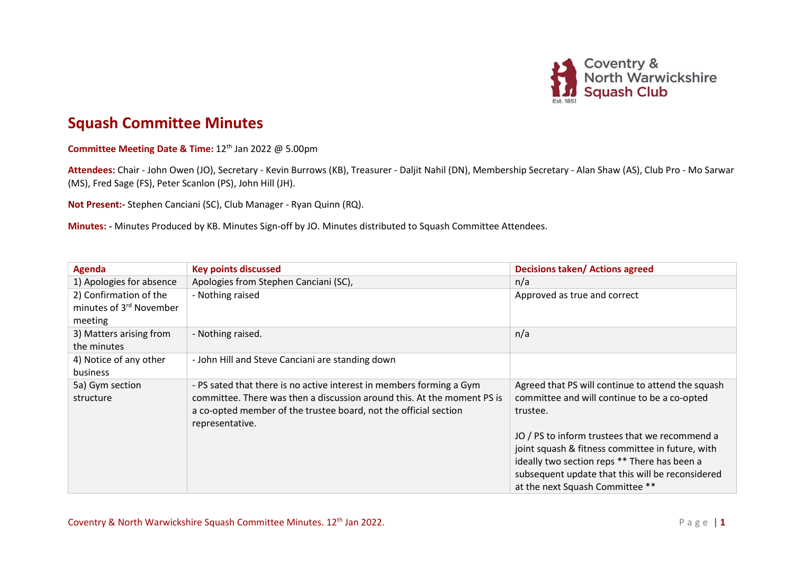

## Squash Committee Minutes

Committee Meeting Date & Time:  $12^{th}$  Jan 2022 @ 5.00pm

Attendees: Chair - John Owen (JO), Secretary - Kevin Burrows (KB), Treasurer - Daljit Nahil (DN), Membership Secretary - Alan Shaw (AS), Club Pro - Mo Sarwar (MS), Fred Sage (FS), Peter Scanlon (PS), John Hill (JH).

Not Present:- Stephen Canciani (SC), Club Manager - Ryan Quinn (RQ).

Minutes: - Minutes Produced by KB. Minutes Sign-off by JO. Minutes distributed to Squash Committee Attendees.

| Agenda                              | <b>Key points discussed</b>                                             | <b>Decisions taken/ Actions agreed</b>            |
|-------------------------------------|-------------------------------------------------------------------------|---------------------------------------------------|
| 1) Apologies for absence            | Apologies from Stephen Canciani (SC),                                   | n/a                                               |
| 2) Confirmation of the              | - Nothing raised                                                        | Approved as true and correct                      |
| minutes of 3 <sup>rd</sup> November |                                                                         |                                                   |
| meeting                             |                                                                         |                                                   |
| 3) Matters arising from             | - Nothing raised.                                                       | n/a                                               |
| the minutes                         |                                                                         |                                                   |
| 4) Notice of any other              | - John Hill and Steve Canciani are standing down                        |                                                   |
| business                            |                                                                         |                                                   |
| 5a) Gym section                     | - PS sated that there is no active interest in members forming a Gym    | Agreed that PS will continue to attend the squash |
| structure                           | committee. There was then a discussion around this. At the moment PS is | committee and will continue to be a co-opted      |
|                                     | a co-opted member of the trustee board, not the official section        | trustee.                                          |
|                                     | representative.                                                         |                                                   |
|                                     |                                                                         | JO / PS to inform trustees that we recommend a    |
|                                     |                                                                         | joint squash & fitness committee in future, with  |
|                                     |                                                                         | ideally two section reps ** There has been a      |
|                                     |                                                                         | subsequent update that this will be reconsidered  |
|                                     |                                                                         | at the next Squash Committee **                   |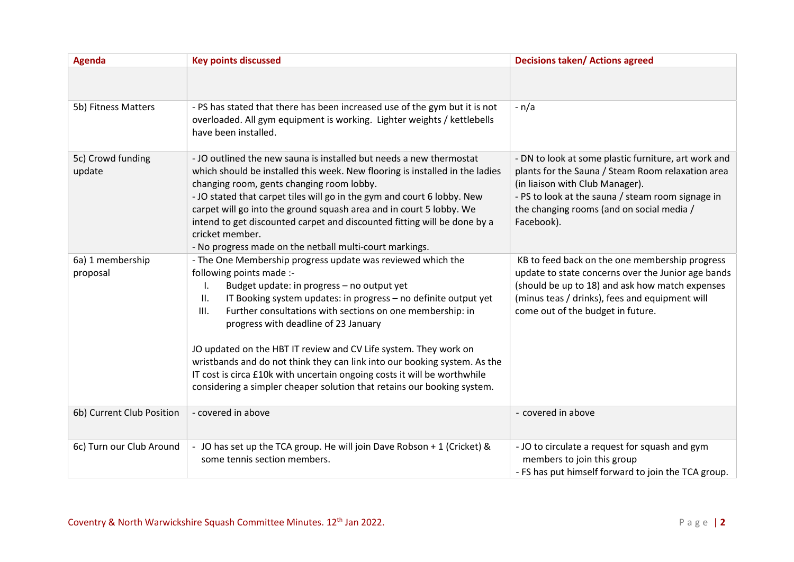| <b>Agenda</b>                | <b>Key points discussed</b>                                                                                                                                                                                                                                                                                                                                                                                                                                                                                                                                                                                                               | <b>Decisions taken/ Actions agreed</b>                                                                                                                                                                                                                       |
|------------------------------|-------------------------------------------------------------------------------------------------------------------------------------------------------------------------------------------------------------------------------------------------------------------------------------------------------------------------------------------------------------------------------------------------------------------------------------------------------------------------------------------------------------------------------------------------------------------------------------------------------------------------------------------|--------------------------------------------------------------------------------------------------------------------------------------------------------------------------------------------------------------------------------------------------------------|
|                              |                                                                                                                                                                                                                                                                                                                                                                                                                                                                                                                                                                                                                                           |                                                                                                                                                                                                                                                              |
| 5b) Fitness Matters          | - PS has stated that there has been increased use of the gym but it is not<br>overloaded. All gym equipment is working. Lighter weights / kettlebells<br>have been installed.                                                                                                                                                                                                                                                                                                                                                                                                                                                             | $- n/a$                                                                                                                                                                                                                                                      |
| 5c) Crowd funding<br>update  | - JO outlined the new sauna is installed but needs a new thermostat<br>which should be installed this week. New flooring is installed in the ladies<br>changing room, gents changing room lobby.<br>- JO stated that carpet tiles will go in the gym and court 6 lobby. New<br>carpet will go into the ground squash area and in court 5 lobby. We<br>intend to get discounted carpet and discounted fitting will be done by a<br>cricket member.<br>- No progress made on the netball multi-court markings.                                                                                                                              | - DN to look at some plastic furniture, art work and<br>plants for the Sauna / Steam Room relaxation area<br>(in liaison with Club Manager).<br>- PS to look at the sauna / steam room signage in<br>the changing rooms (and on social media /<br>Facebook). |
| 6a) 1 membership<br>proposal | - The One Membership progress update was reviewed which the<br>following points made :-<br>Budget update: in progress - no output yet<br>Ι.<br>IT Booking system updates: in progress - no definite output yet<br>Π.<br>Further consultations with sections on one membership: in<br>III.<br>progress with deadline of 23 January<br>JO updated on the HBT IT review and CV Life system. They work on<br>wristbands and do not think they can link into our booking system. As the<br>IT cost is circa £10k with uncertain ongoing costs it will be worthwhile<br>considering a simpler cheaper solution that retains our booking system. | KB to feed back on the one membership progress<br>update to state concerns over the Junior age bands<br>(should be up to 18) and ask how match expenses<br>(minus teas / drinks), fees and equipment will<br>come out of the budget in future.               |
| 6b) Current Club Position    | - covered in above                                                                                                                                                                                                                                                                                                                                                                                                                                                                                                                                                                                                                        | - covered in above                                                                                                                                                                                                                                           |
| 6c) Turn our Club Around     | - JO has set up the TCA group. He will join Dave Robson + 1 (Cricket) &<br>some tennis section members.                                                                                                                                                                                                                                                                                                                                                                                                                                                                                                                                   | - JO to circulate a request for squash and gym<br>members to join this group<br>- FS has put himself forward to join the TCA group.                                                                                                                          |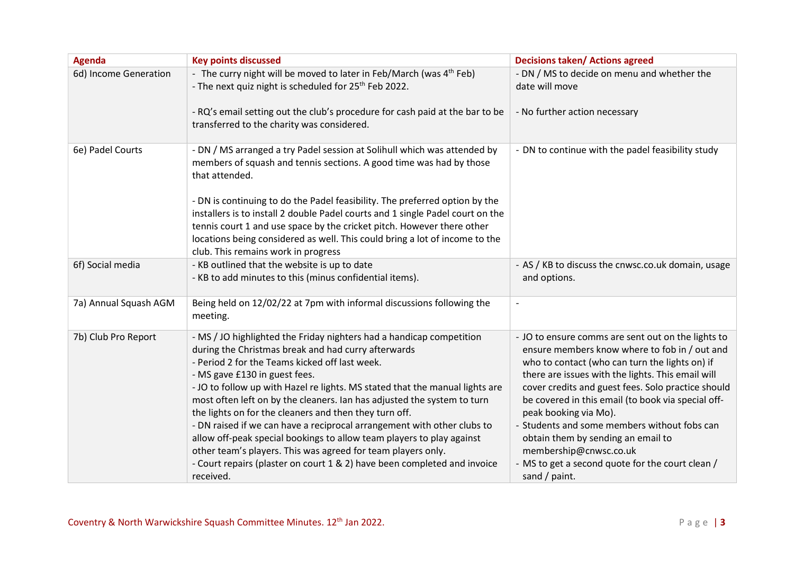| <b>Agenda</b>         | <b>Key points discussed</b>                                                                                                                                                                                                                                                                                                                                                                                                                                                                                                                                                                                                                                                                                                                      | <b>Decisions taken/ Actions agreed</b>                                                                                                                                                                                                                                                                                                                                                                                                                                                                                                 |
|-----------------------|--------------------------------------------------------------------------------------------------------------------------------------------------------------------------------------------------------------------------------------------------------------------------------------------------------------------------------------------------------------------------------------------------------------------------------------------------------------------------------------------------------------------------------------------------------------------------------------------------------------------------------------------------------------------------------------------------------------------------------------------------|----------------------------------------------------------------------------------------------------------------------------------------------------------------------------------------------------------------------------------------------------------------------------------------------------------------------------------------------------------------------------------------------------------------------------------------------------------------------------------------------------------------------------------------|
| 6d) Income Generation | - The curry night will be moved to later in Feb/March (was 4 <sup>th</sup> Feb)<br>- The next quiz night is scheduled for 25 <sup>th</sup> Feb 2022.                                                                                                                                                                                                                                                                                                                                                                                                                                                                                                                                                                                             | - DN / MS to decide on menu and whether the<br>date will move                                                                                                                                                                                                                                                                                                                                                                                                                                                                          |
|                       | - RQ's email setting out the club's procedure for cash paid at the bar to be<br>transferred to the charity was considered.                                                                                                                                                                                                                                                                                                                                                                                                                                                                                                                                                                                                                       | - No further action necessary                                                                                                                                                                                                                                                                                                                                                                                                                                                                                                          |
| 6e) Padel Courts      | - DN / MS arranged a try Padel session at Solihull which was attended by<br>members of squash and tennis sections. A good time was had by those<br>that attended.<br>- DN is continuing to do the Padel feasibility. The preferred option by the                                                                                                                                                                                                                                                                                                                                                                                                                                                                                                 | - DN to continue with the padel feasibility study                                                                                                                                                                                                                                                                                                                                                                                                                                                                                      |
|                       | installers is to install 2 double Padel courts and 1 single Padel court on the<br>tennis court 1 and use space by the cricket pitch. However there other<br>locations being considered as well. This could bring a lot of income to the<br>club. This remains work in progress                                                                                                                                                                                                                                                                                                                                                                                                                                                                   |                                                                                                                                                                                                                                                                                                                                                                                                                                                                                                                                        |
| 6f) Social media      | - KB outlined that the website is up to date<br>- KB to add minutes to this (minus confidential items).                                                                                                                                                                                                                                                                                                                                                                                                                                                                                                                                                                                                                                          | - AS / KB to discuss the cnwsc.co.uk domain, usage<br>and options.                                                                                                                                                                                                                                                                                                                                                                                                                                                                     |
| 7a) Annual Squash AGM | Being held on 12/02/22 at 7pm with informal discussions following the<br>meeting.                                                                                                                                                                                                                                                                                                                                                                                                                                                                                                                                                                                                                                                                | $\overline{a}$                                                                                                                                                                                                                                                                                                                                                                                                                                                                                                                         |
| 7b) Club Pro Report   | - MS / JO highlighted the Friday nighters had a handicap competition<br>during the Christmas break and had curry afterwards<br>- Period 2 for the Teams kicked off last week.<br>- MS gave £130 in guest fees.<br>- JO to follow up with Hazel re lights. MS stated that the manual lights are<br>most often left on by the cleaners. Ian has adjusted the system to turn<br>the lights on for the cleaners and then they turn off.<br>- DN raised if we can have a reciprocal arrangement with other clubs to<br>allow off-peak special bookings to allow team players to play against<br>other team's players. This was agreed for team players only.<br>- Court repairs (plaster on court 1 & 2) have been completed and invoice<br>received. | - JO to ensure comms are sent out on the lights to<br>ensure members know where to fob in / out and<br>who to contact (who can turn the lights on) if<br>there are issues with the lights. This email will<br>cover credits and guest fees. Solo practice should<br>be covered in this email (to book via special off-<br>peak booking via Mo).<br>- Students and some members without fobs can<br>obtain them by sending an email to<br>membership@cnwsc.co.uk<br>- MS to get a second quote for the court clean /<br>sand / $paint.$ |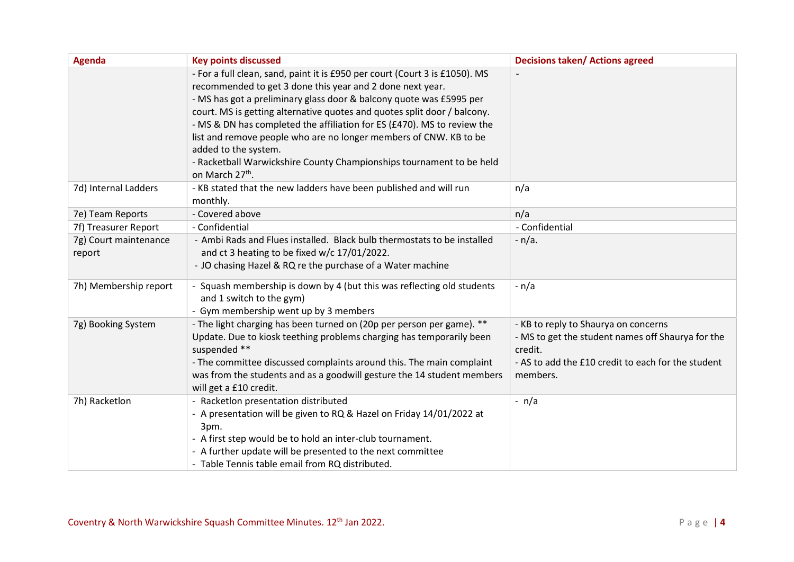| <b>Agenda</b>                   | <b>Key points discussed</b>                                                                                                                                                                                                                                                                                                                                                                                                                                                                                                                                   | <b>Decisions taken/ Actions agreed</b>                                                                                                                                 |
|---------------------------------|---------------------------------------------------------------------------------------------------------------------------------------------------------------------------------------------------------------------------------------------------------------------------------------------------------------------------------------------------------------------------------------------------------------------------------------------------------------------------------------------------------------------------------------------------------------|------------------------------------------------------------------------------------------------------------------------------------------------------------------------|
|                                 | - For a full clean, sand, paint it is £950 per court (Court 3 is £1050). MS<br>recommended to get 3 done this year and 2 done next year.<br>- MS has got a preliminary glass door & balcony quote was £5995 per<br>court. MS is getting alternative quotes and quotes split door / balcony.<br>- MS & DN has completed the affiliation for ES (£470). MS to review the<br>list and remove people who are no longer members of CNW. KB to be<br>added to the system.<br>- Racketball Warwickshire County Championships tournament to be held<br>on March 27th. |                                                                                                                                                                        |
| 7d) Internal Ladders            | - KB stated that the new ladders have been published and will run<br>monthly.                                                                                                                                                                                                                                                                                                                                                                                                                                                                                 | n/a                                                                                                                                                                    |
| 7e) Team Reports                | - Covered above                                                                                                                                                                                                                                                                                                                                                                                                                                                                                                                                               | n/a                                                                                                                                                                    |
| 7f) Treasurer Report            | - Confidential                                                                                                                                                                                                                                                                                                                                                                                                                                                                                                                                                | - Confidential                                                                                                                                                         |
| 7g) Court maintenance<br>report | - Ambi Rads and Flues installed. Black bulb thermostats to be installed<br>and ct 3 heating to be fixed w/c 17/01/2022.<br>- JO chasing Hazel & RQ re the purchase of a Water machine                                                                                                                                                                                                                                                                                                                                                                         | $- n/a.$                                                                                                                                                               |
| 7h) Membership report           | - Squash membership is down by 4 (but this was reflecting old students<br>and 1 switch to the gym)<br>- Gym membership went up by 3 members                                                                                                                                                                                                                                                                                                                                                                                                                   | - n/a                                                                                                                                                                  |
| 7g) Booking System              | - The light charging has been turned on (20p per person per game). **<br>Update. Due to kiosk teething problems charging has temporarily been<br>suspended **<br>- The committee discussed complaints around this. The main complaint<br>was from the students and as a goodwill gesture the 14 student members<br>will get a £10 credit.                                                                                                                                                                                                                     | - KB to reply to Shaurya on concerns<br>- MS to get the student names off Shaurya for the<br>credit.<br>- AS to add the £10 credit to each for the student<br>members. |
| 7h) Racketlon                   | - Racketlon presentation distributed<br>- A presentation will be given to RQ & Hazel on Friday 14/01/2022 at<br>3pm.<br>- A first step would be to hold an inter-club tournament.<br>- A further update will be presented to the next committee<br>- Table Tennis table email from RQ distributed.                                                                                                                                                                                                                                                            | - $n/a$                                                                                                                                                                |